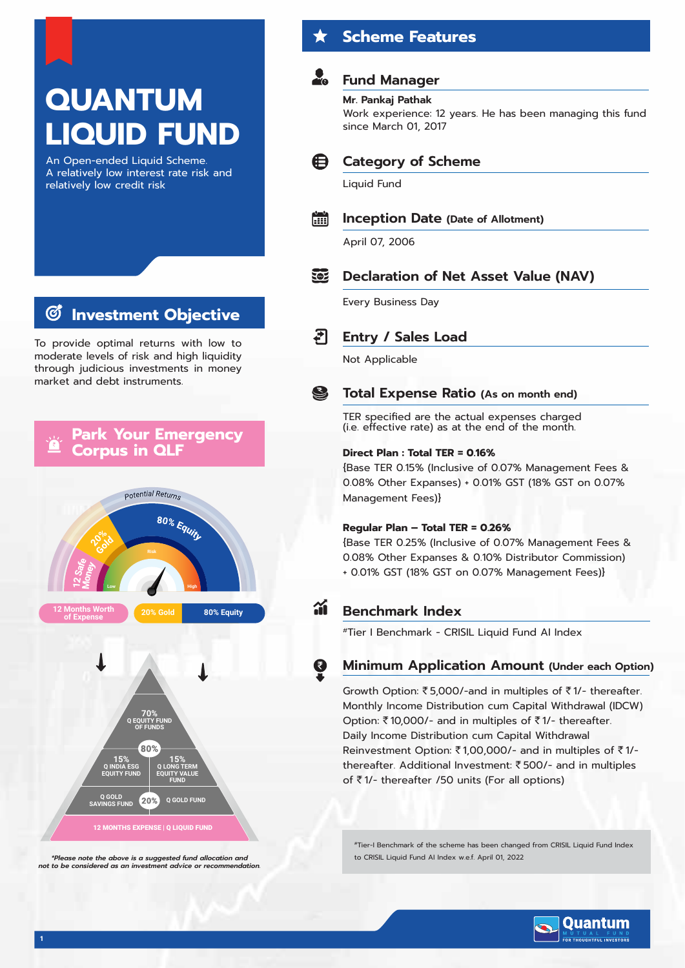# **QUANTUM LIQUID FUND**

An Open-ended Liquid Scheme. A relatively low interest rate risk and relatively low credit risk

# **Investment Objective**

To provide optimal returns with low to moderate levels of risk and high liquidity through judicious investments in money market and debt instruments.

#### **Park Your Emergency Corpus in QLF**



*\*Please note the above is a suggested fund allocation and not to be considered as an investment advice or recommendation.*

### **Scheme Features**

### **Fund Manager**

#### **Mr. Pankaj Pathak**

Work experience: 12 years. He has been managing this fund since March 01, 2017



#### **Category of Scheme**

Liquid Fund

#### **A Inception Date (Date of Allotment)**

April 07, 2006

#### 502 **Declaration of Net Asset Value (NAV)**

Every Business Day



Not Applicable

#### S **Total Expense Ratio (As on month end)**

TER specified are the actual expenses charged (i.e. effective rate) as at the end of the month.

#### **Direct Plan : Total TER = 0.16%**

{Base TER 0.15% (Inclusive of 0.07% Management Fees & 0.08% Other Expanses) + 0.01% GST (18% GST on 0.07% Management Fees)}

#### **Regular Plan – Total TER = 0.26%**

{Base TER 0.25% (Inclusive of 0.07% Management Fees & 0.08% Other Expanses & 0.10% Distributor Commission) + 0.01% GST (18% GST on 0.07% Management Fees)}

# **Benchmark Index**

#Tier I Benchmark - CRISIL Liquid Fund AI Index

#### **Minimum Application Amount (Under each Option)**

Growth Option:  $\overline{\xi}$  5,000/-and in multiples of  $\overline{\xi}$  1/- thereafter. Monthly Income Distribution cum Capital Withdrawal (IDCW) Option:  $\bar{\tau}$ 10,000/- and in multiples of  $\bar{\tau}$ 1/- thereafter. Daily Income Distribution cum Capital Withdrawal Reinvestment Option:  $\bar{\tau}$ 1,00,000/- and in multiples of  $\bar{\tau}$ 1/thereafter. Additional Investment: ₹500/- and in multiples of  $\bar{\tau}$ 1/- thereafter /50 units (For all options)

#Tier-I Benchmark of the scheme has been changed from CRISIL Liquid Fund Index to CRISIL Liquid Fund AI Index w.e.f. April 01, 2022

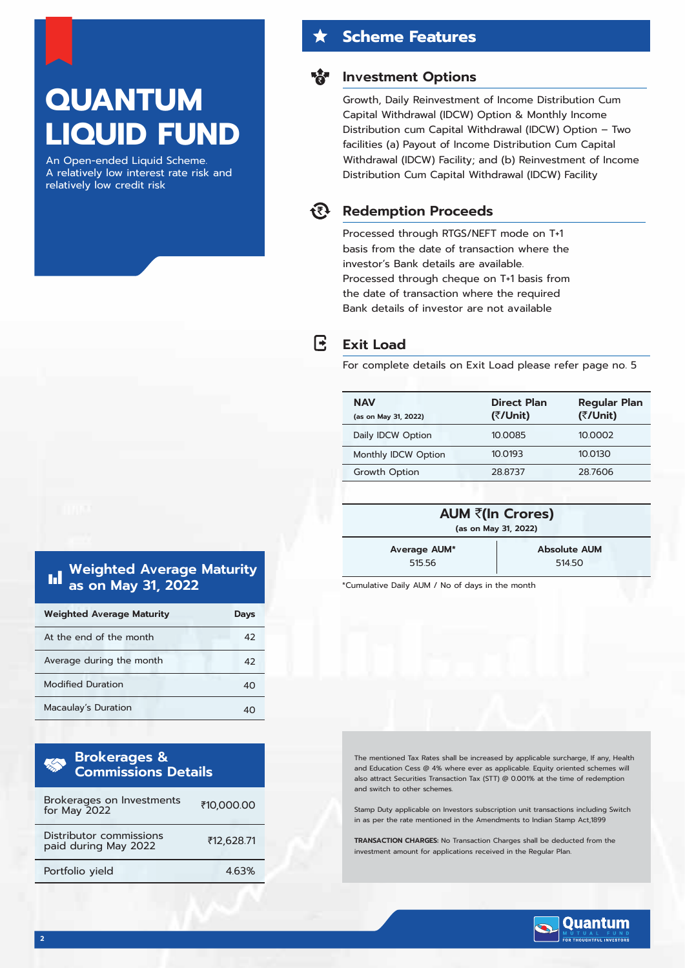# **QUANTUM LIQUID FUND**

An Open-ended Liquid Scheme. A relatively low interest rate risk and relatively low credit risk

#### **Scheme Features**

#### **Investment Options**

Growth, Daily Reinvestment of Income Distribution Cum Capital Withdrawal (IDCW) Option & Monthly Income Distribution cum Capital Withdrawal (IDCW) Option – Two facilities (a) Payout of Income Distribution Cum Capital Withdrawal (IDCW) Facility; and (b) Reinvestment of Income Distribution Cum Capital Withdrawal (IDCW) Facility



R

#### **Redemption Proceeds**

Processed through RTGS/NEFT mode on T+1 basis from the date of transaction where the investor's Bank details are available. Processed through cheque on T+1 basis from the date of transaction where the required Bank details of investor are not available

#### **Exit Load**

For complete details on Exit Load please refer page no. 5

| <b>NAV</b><br>(as on May 31, 2022) | Direct Plan<br>(₹/Unit) | <b>Regular Plan</b><br>(₹/Unit) |
|------------------------------------|-------------------------|---------------------------------|
| Daily IDCW Option                  | 10.0085                 | 10.0002                         |
| Monthly IDCW Option                | 10.0193                 | 10.0130                         |
| Growth Option                      | 28.8737                 | 28.7606                         |
|                                    |                         |                                 |

| AUM ₹(In Crores)<br>(as on May 31, 2022) |  |
|------------------------------------------|--|
|                                          |  |

**Average AUM\*** 515.56

**Absolute AUM** 514.50

\*Cumulative Daily AUM / No of days in the month

The mentioned Tax Rates shall be increased by applicable surcharge, If any, Health and Education Cess @ 4% where ever as applicable. Equity oriented schemes will also attract Securities Transaction Tax (STT) @ 0.001% at the time of redemption and switch to other schemes.

Stamp Duty applicable on Investors subscription unit transactions including Switch in as per the rate mentioned in the Amendments to Indian Stamp Act,1899

**TRANSACTION CHARGES:** No Transaction Charges shall be deducted from the investment amount for applications received in the Regular Plan.



#### **Weighted Average Maturity** Ы **as on May 31, 2022**

| <b>Weighted Average Maturity</b> | Davs |
|----------------------------------|------|
| At the end of the month          | 42   |
| Average during the month         | 42   |
| <b>Modified Duration</b>         | 40   |
| Macaulay's Duration              |      |

| <b>Brokerages &amp;<br/>Commissions Details</b> |            |
|-------------------------------------------------|------------|
| Brokerages on Investments<br>for May 2022       | ₹10,000.00 |
| Distributor commissions<br>paid during May 2022 | ₹12,628.71 |
| Portfolio yield                                 | 463%       |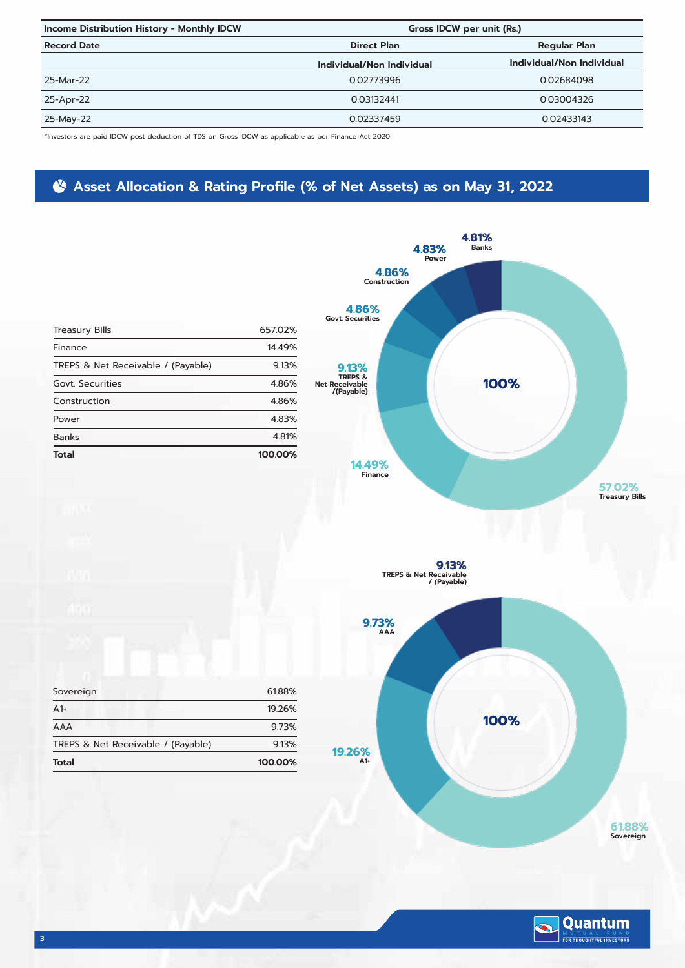| Income Distribution History - Monthly IDCW |                           | Gross IDCW per unit (Rs.) |  |  |
|--------------------------------------------|---------------------------|---------------------------|--|--|
| <b>Record Date</b>                         | <b>Direct Plan</b>        | <b>Regular Plan</b>       |  |  |
|                                            | Individual/Non Individual | Individual/Non Individual |  |  |
| 25-Mar-22                                  | 0.02773996                | 0.02684098                |  |  |
| 25-Apr-22                                  | 0.03132441                | 0.03004326                |  |  |
| 25-May-22                                  | 0.02337459                | 0.02433143                |  |  |

\*Investors are paid IDCW post deduction of TDS on Gross IDCW as applicable as per Finance Act 2020

# **Asset Allocation & Rating Profile (% of Net Assets) as on May 31, 2022**

|                                    |         | 4.83%                                                              | $4.81%$<br>Banks     |                       |
|------------------------------------|---------|--------------------------------------------------------------------|----------------------|-----------------------|
|                                    |         | Power<br>4.86%<br>Construction<br>4.86%<br><b>Govt. Securities</b> |                      |                       |
| <b>Treasury Bills</b>              | 657.02% |                                                                    |                      |                       |
| Finance                            | 14.49%  |                                                                    |                      |                       |
| TREPS & Net Receivable / (Payable) | 9.13%   |                                                                    |                      |                       |
| Govt. Securities                   | 4.86%   | 9.13%<br>TREPS &<br>Net Receivable<br>/(Payable)                   | 100%                 |                       |
| Construction                       | 4.86%   |                                                                    |                      |                       |
| Power                              | 4.83%   |                                                                    |                      |                       |
| <b>Banks</b>                       | 4.81%   |                                                                    |                      |                       |
| <b>Total</b>                       | 100.00% | 14.49%<br>Finance                                                  |                      | 57.02%                |
|                                    |         |                                                                    |                      | <b>Treasury Bills</b> |
|                                    |         |                                                                    |                      |                       |
|                                    |         | <b>TREPS &amp; Net Receivable</b>                                  | 9.13%<br>/ (Payable) |                       |
|                                    |         | 9.73%<br>AAA                                                       |                      |                       |
| Sovereign                          | 61.88%  |                                                                    |                      |                       |
| A1+                                | 19.26%  |                                                                    |                      |                       |
| AAA                                | 9.73%   |                                                                    | 100%                 |                       |
| TREPS & Net Receivable / (Payable) | 9.13%   | 19.26%                                                             |                      |                       |
| <b>Total</b>                       | 100.00% | $A1+$                                                              |                      |                       |
|                                    |         |                                                                    |                      |                       |

**61.88% Sovereign**

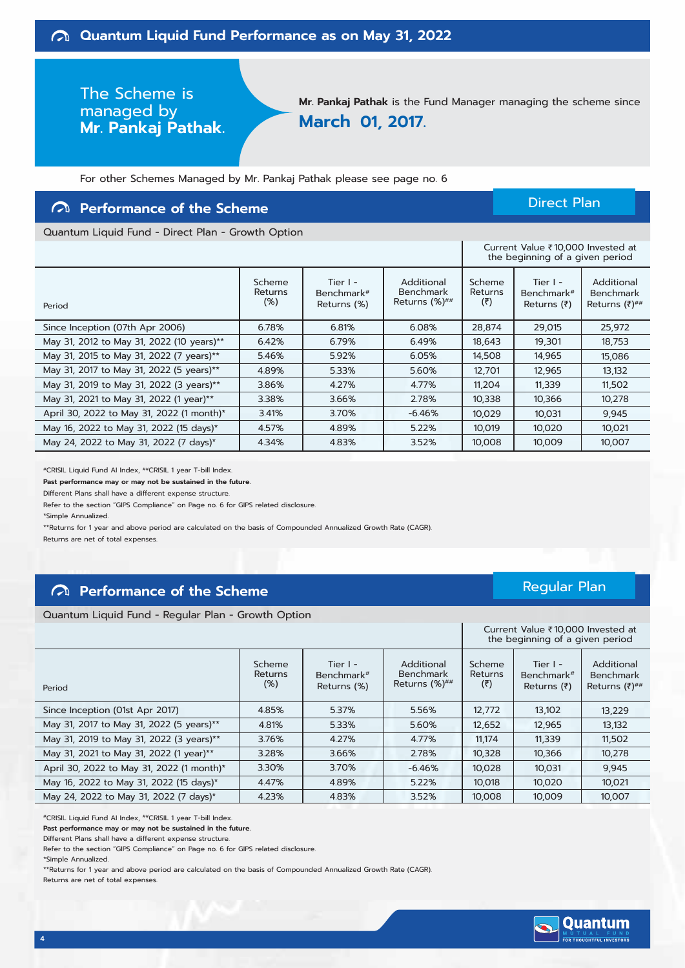# The Scheme is managed by **Mr. Pankaj Pathak.**

**Mr. Pankaj Pathak** is the Fund Manager managing the scheme since **March 01, 2017.**

For other Schemes Managed by Mr. Pankaj Pathak please see page no. 6

#### **Performance of the Scheme**

#### Direct Plan

Current Value ₹10,000 Invested at

Regular Plan

Quantum Liquid Fund - Direct Plan - Growth Option

|                                           |                             |                                                   |                                                 |                          | the beginning of a given period                           |                                                               |
|-------------------------------------------|-----------------------------|---------------------------------------------------|-------------------------------------------------|--------------------------|-----------------------------------------------------------|---------------------------------------------------------------|
| Period                                    | Scheme<br>Returns<br>$(\%)$ | Tier I -<br>Benchmark <sup>#</sup><br>Returns (%) | Additional<br><b>Benchmark</b><br>Returns (%)## | Scheme<br>Returns<br>(5) | Tier I -<br>Benchmark <sup>#</sup><br>Returns $(\bar{z})$ | Additional<br><b>Benchmark</b><br>Returns $(\bar{z})^{\# \#}$ |
| Since Inception (07th Apr 2006)           | 6.78%                       | 6.81%                                             | 6.08%                                           | 28,874                   | 29,015                                                    | 25,972                                                        |
| May 31, 2012 to May 31, 2022 (10 years)** | 6.42%                       | 6.79%                                             | 6.49%                                           | 18,643                   | 19,301                                                    | 18,753                                                        |
| May 31, 2015 to May 31, 2022 (7 years)**  | 5.46%                       | 5.92%                                             | 6.05%                                           | 14,508                   | 14,965                                                    | 15,086                                                        |
| May 31, 2017 to May 31, 2022 (5 years)**  | 4.89%                       | 5.33%                                             | 5.60%                                           | 12,701                   | 12,965                                                    | 13,132                                                        |
| May 31, 2019 to May 31, 2022 (3 years)**  | 3.86%                       | 4.27%                                             | 4.77%                                           | 11,204                   | 11,339                                                    | 11,502                                                        |
| May 31, 2021 to May 31, 2022 (1 year)**   | 3.38%                       | 3.66%                                             | 2.78%                                           | 10,338                   | 10,366                                                    | 10,278                                                        |
| April 30, 2022 to May 31, 2022 (1 month)* | 3.41%                       | 3.70%                                             | $-6.46%$                                        | 10,029                   | 10,031                                                    | 9,945                                                         |
| May 16, 2022 to May 31, 2022 (15 days)*   | 4.57%                       | 4.89%                                             | 5.22%                                           | 10,019                   | 10,020                                                    | 10,021                                                        |
| May 24, 2022 to May 31, 2022 (7 days)*    | 4.34%                       | 4.83%                                             | 3.52%                                           | 10,008                   | 10,009                                                    | 10,007                                                        |

#CRISIL Liquid Fund AI Index, ##CRISIL 1 year T-bill Index.

**Past performance may or may not be sustained in the future.**

Different Plans shall have a different expense structure.

Refer to the section "GIPS Compliance" on Page no. 6 for GIPS related disclosure.

\*Simple Annualized.

\*\*Returns for 1 year and above period are calculated on the basis of Compounded Annualized Growth Rate (CAGR).

Returns are net of total expenses.

#### **Performance of the Scheme**

Quantum Liquid Fund - Regular Plan - Growth Option

|                                           |                                 |                                         |                                                 |                                                 | Current Value ₹10,000 Invested at<br>the beginning of a given period |                                                      |
|-------------------------------------------|---------------------------------|-----------------------------------------|-------------------------------------------------|-------------------------------------------------|----------------------------------------------------------------------|------------------------------------------------------|
| Period                                    | Scheme<br><b>Returns</b><br>(%) | Tier $I -$<br>Benchmark#<br>Returns (%) | Additional<br><b>Benchmark</b><br>Returns (%)## | Scheme<br><b>Returns</b><br>$(\overline{\tau})$ | Tier $l -$<br>Benchmark <sup>#</sup><br>Returns $(₹)$                | Additional<br><b>Benchmark</b><br>Returns $(7)^{##}$ |
| Since Inception (01st Apr 2017)           | 4.85%                           | 5.37%                                   | 5.56%                                           | 12,772                                          | 13,102                                                               | 13,229                                               |
| May 31, 2017 to May 31, 2022 (5 years)**  | 4.81%                           | 5.33%                                   | 5.60%                                           | 12,652                                          | 12,965                                                               | 13,132                                               |
| May 31, 2019 to May 31, 2022 (3 years)**  | 3.76%                           | 4.27%                                   | 4.77%                                           | 11.174                                          | 11,339                                                               | 11,502                                               |
| May 31, 2021 to May 31, 2022 (1 year)**   | 3.28%                           | 3.66%                                   | 2.78%                                           | 10,328                                          | 10,366                                                               | 10,278                                               |
| April 30, 2022 to May 31, 2022 (1 month)* | 3.30%                           | 3.70%                                   | $-6.46%$                                        | 10,028                                          | 10,031                                                               | 9,945                                                |
| May 16, 2022 to May 31, 2022 (15 days)*   | 4.47%                           | 4.89%                                   | 5.22%                                           | 10,018                                          | 10,020                                                               | 10,021                                               |
| May 24, 2022 to May 31, 2022 (7 days)*    | 4.23%                           | 4.83%                                   | 3.52%                                           | 10.008                                          | 10.009                                                               | 10.007                                               |

#CRISIL Liquid Fund AI Index, ##CRISIL 1 year T-bill Index.

**Past performance may or may not be sustained in the future.**

Different Plans shall have a different expense structure.

Refer to the section "GIPS Compliance" on Page no. 6 for GIPS related disclosure.

\*\*Returns for 1 year and above period are calculated on the basis of Compounded Annualized Growth Rate (CAGR). Returns are net of total expenses.



<sup>\*</sup>Simple Annualized.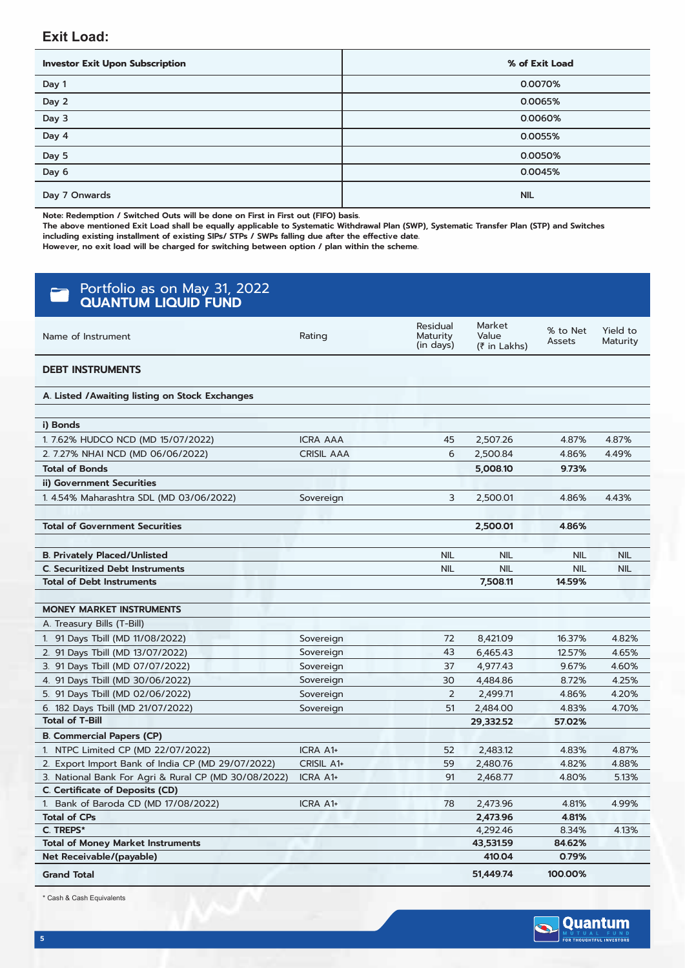#### **Exit Load:**

| <b>Investor Exit Upon Subscription</b> | % of Exit Load |
|----------------------------------------|----------------|
| Day 1                                  | 0.0070%        |
| Day 2                                  | 0.0065%        |
| Day 3                                  | 0.0060%        |
| $\overline{Day 4}$                     | 0.0055%        |
| Day 5                                  | 0.0050%        |
| Day 6                                  | 0.0045%        |
| Day 7 Onwards                          | <b>NIL</b>     |

**Note: Redemption / Switched Outs will be done on First in First out (FIFO) basis.**

**The above mentioned Exit Load shall be equally applicable to Systematic Withdrawal Plan (SWP), Systematic Transfer Plan (STP) and Switches including existing installment of existing SIPs/ STPs / SWPs falling due after the effective date.**

**However, no exit load will be charged for switching between option / plan within the scheme.**

| Portfolio as on May 31, 2022<br><b>QUANTUM LIQUID FUND</b> |                   |                                   |                                 |                    |                      |
|------------------------------------------------------------|-------------------|-----------------------------------|---------------------------------|--------------------|----------------------|
| Name of Instrument                                         | Rating            | Residual<br>Maturity<br>(in days) | Market<br>Value<br>(₹ in Lakhs) | % to Net<br>Assets | Yield to<br>Maturity |
| <b>DEBT INSTRUMENTS</b>                                    |                   |                                   |                                 |                    |                      |
| A. Listed /Awaiting listing on Stock Exchanges             |                   |                                   |                                 |                    |                      |
|                                                            |                   |                                   |                                 |                    |                      |
| i) Bonds                                                   |                   |                                   |                                 |                    |                      |
| 1.7.62% HUDCO NCD (MD 15/07/2022)                          | <b>ICRA AAA</b>   | 45                                | 2,507.26                        | 4.87%              | 4.87%                |
| 2. 7.27% NHAI NCD (MD 06/06/2022)                          | <b>CRISIL AAA</b> | 6                                 | 2,500.84                        | 4.86%              | 4.49%                |
| <b>Total of Bonds</b>                                      |                   |                                   | 5,008.10                        | 9.73%              |                      |
| ii) Government Securities                                  |                   |                                   |                                 |                    |                      |
| 1.4.54% Maharashtra SDL (MD 03/06/2022)                    | Sovereign         | 3                                 | 2,500.01                        | 4.86%              | 4.43%                |
|                                                            |                   |                                   |                                 |                    |                      |
| <b>Total of Government Securities</b>                      |                   |                                   | 2,500.01                        | 4.86%              |                      |
|                                                            |                   |                                   |                                 |                    |                      |
| <b>B. Privately Placed/Unlisted</b>                        |                   | <b>NIL</b>                        | <b>NIL</b>                      | NIL                | <b>NIL</b>           |
| <b>C. Securitized Debt Instruments</b>                     |                   | <b>NIL</b>                        | <b>NIL</b>                      | NIL                | <b>NIL</b>           |
| <b>Total of Debt Instruments</b>                           |                   |                                   | 7,508.11                        | 14.59%             |                      |
|                                                            |                   |                                   |                                 |                    |                      |
| <b>MONEY MARKET INSTRUMENTS</b>                            |                   |                                   |                                 |                    |                      |
|                                                            |                   |                                   |                                 |                    |                      |
| A. Treasury Bills (T-Bill)                                 |                   |                                   |                                 |                    |                      |
| 1. 91 Days Tbill (MD 11/08/2022)                           | Sovereign         | 72                                | 8,421.09                        | 16.37%             | 4.82%                |
| 2. 91 Days Tbill (MD 13/07/2022)                           | Sovereign         | 43                                | 6,465.43                        | 12.57%             | 4.65%                |
| 3. 91 Days Tbill (MD 07/07/2022)                           | Sovereign         | 37                                | 4,977.43                        | 9.67%              | 4.60%                |
| 4. 91 Days Tbill (MD 30/06/2022)                           | Sovereign         | 30                                | 4,484.86                        | 8.72%              | 4.25%                |
| 5. 91 Days Tbill (MD 02/06/2022)                           | Sovereign         | 2                                 | 2,499.71                        | 4.86%              | 4.20%                |
| 6. 182 Days Tbill (MD 21/07/2022)                          | Sovereign         | 51                                | 2,484.00                        | 4.83%              | 4.70%                |
| <b>Total of T-Bill</b>                                     |                   |                                   | 29,332.52                       | 57.02%             |                      |
| <b>B. Commercial Papers (CP)</b>                           |                   |                                   |                                 |                    |                      |
| 1. NTPC Limited CP (MD 22/07/2022)                         | ICRA A1+          | 52                                | 2,483.12                        | 4.83%              | 4.87%                |
| 2. Export Import Bank of India CP (MD 29/07/2022)          | CRISIL A1+        | 59                                | 2,480.76                        | 4.82%              | 4.88%                |
| 3. National Bank For Agri & Rural CP (MD 30/08/2022)       | ICRA A1+          | 91                                | 2,468.77                        | 4.80%              | 5.13%                |
| C. Certificate of Deposits (CD)                            |                   |                                   |                                 |                    |                      |
| 1. Bank of Baroda CD (MD 17/08/2022)                       | ICRA A1+          | 78                                | 2,473.96                        | 4.81%              | 4.99%                |
| <b>Total of CPs</b><br>C. TREPS*                           |                   |                                   | 2,473.96<br>4,292.46            | 4.81%<br>8.34%     | 4.13%                |
| <b>Total of Money Market Instruments</b>                   |                   |                                   | 43,531.59                       | 84.62%             |                      |
| Net Receivable/(payable)                                   |                   |                                   | 410.04                          | 0.79%              |                      |

\* Cash & Cash Equivalents